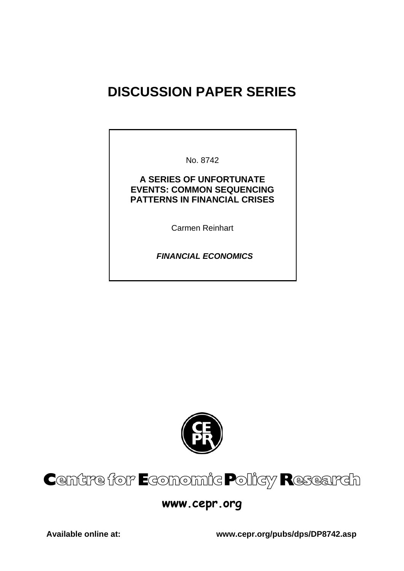# **DISCUSSION PAPER SERIES**

No. 8742

**A SERIES OF UNFORTUNATE EVENTS: COMMON SEQUENCING PATTERNS IN FINANCIAL CRISES** 

Carmen Reinhart

 *FINANCIAL ECONOMICS* 



# Centre for Economic Policy Research

## **www.cepr.org**

**Available online at: www.cepr.org/pubs/dps/DP8742.asp**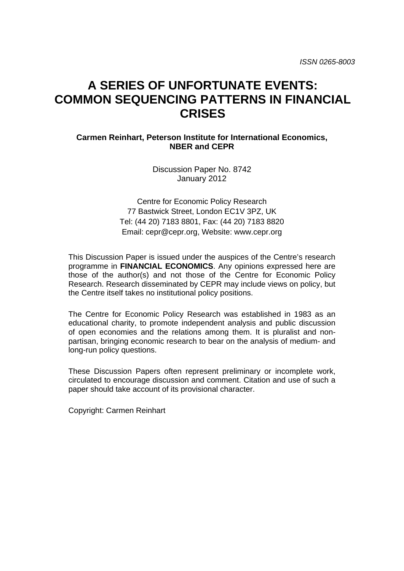## **A SERIES OF UNFORTUNATE EVENTS: COMMON SEQUENCING PATTERNS IN FINANCIAL CRISES**

#### **Carmen Reinhart, Peterson Institute for International Economics, NBER and CEPR**

Discussion Paper No. 8742 January 2012

Centre for Economic Policy Research 77 Bastwick Street, London EC1V 3PZ, UK Tel: (44 20) 7183 8801, Fax: (44 20) 7183 8820 Email: cepr@cepr.org, Website: www.cepr.org

This Discussion Paper is issued under the auspices of the Centre's research programme in **FINANCIAL ECONOMICS**. Any opinions expressed here are those of the author(s) and not those of the Centre for Economic Policy Research. Research disseminated by CEPR may include views on policy, but the Centre itself takes no institutional policy positions.

The Centre for Economic Policy Research was established in 1983 as an educational charity, to promote independent analysis and public discussion of open economies and the relations among them. It is pluralist and nonpartisan, bringing economic research to bear on the analysis of medium- and long-run policy questions.

These Discussion Papers often represent preliminary or incomplete work, circulated to encourage discussion and comment. Citation and use of such a paper should take account of its provisional character.

Copyright: Carmen Reinhart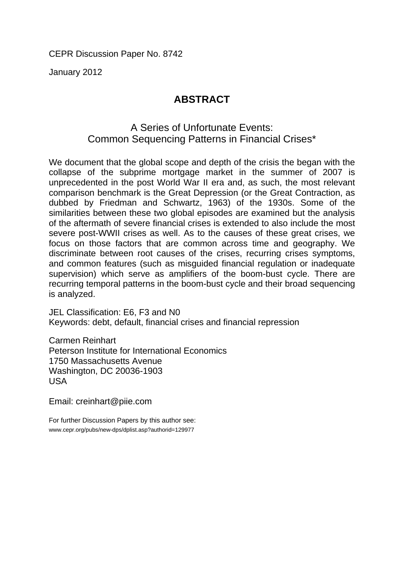CEPR Discussion Paper No. 8742

January 2012

## **ABSTRACT**

### A Series of Unfortunate Events: Common Sequencing Patterns in Financial Crises\*

We document that the global scope and depth of the crisis the began with the collapse of the subprime mortgage market in the summer of 2007 is unprecedented in the post World War II era and, as such, the most relevant comparison benchmark is the Great Depression (or the Great Contraction, as dubbed by Friedman and Schwartz, 1963) of the 1930s. Some of the similarities between these two global episodes are examined but the analysis of the aftermath of severe financial crises is extended to also include the most severe post-WWII crises as well. As to the causes of these great crises, we focus on those factors that are common across time and geography. We discriminate between root causes of the crises, recurring crises symptoms, and common features (such as misguided financial regulation or inadequate supervision) which serve as amplifiers of the boom-bust cycle. There are recurring temporal patterns in the boom-bust cycle and their broad sequencing is analyzed.

JEL Classification: E6, F3 and N0 Keywords: debt, default, financial crises and financial repression

Carmen Reinhart Peterson Institute for International Economics 1750 Massachusetts Avenue Washington, DC 20036-1903 USA

Email: creinhart@piie.com

For further Discussion Papers by this author see: www.cepr.org/pubs/new-dps/dplist.asp?authorid=129977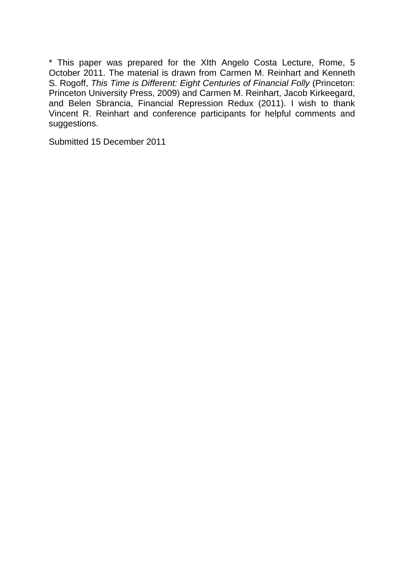\* This paper was prepared for the XIth Angelo Costa Lecture, Rome, 5 October 2011. The material is drawn from Carmen M. Reinhart and Kenneth S. Rogoff, *This Time is Different: Eight Centuries of Financial Folly* (Princeton: Princeton University Press, 2009) and Carmen M. Reinhart, Jacob Kirkeegard, and Belen Sbrancia, Financial Repression Redux (2011). I wish to thank Vincent R. Reinhart and conference participants for helpful comments and suggestions.

Submitted 15 December 2011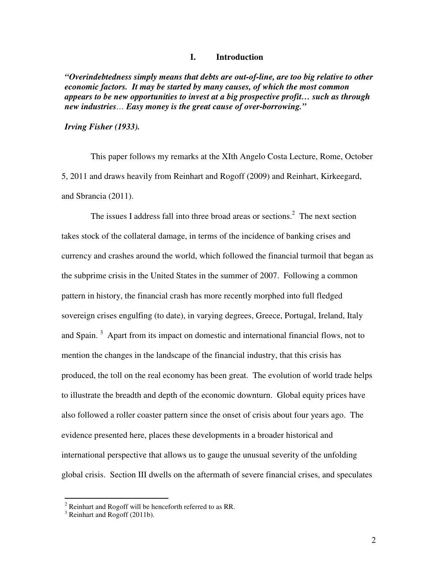#### **I. Introduction**

*"Overindebtedness simply means that debts are out-of-line, are too big relative to other economic factors. It may be started by many causes, of which the most common appears to be new opportunities to invest at a big prospective profit… such as through new industries… Easy money is the great cause of over-borrowing."* 

*Irving Fisher (1933).* 

 This paper follows my remarks at the XIth Angelo Costa Lecture, Rome, October 5, 2011 and draws heavily from Reinhart and Rogoff (2009) and Reinhart, Kirkeegard, and Sbrancia (2011).

The issues I address fall into three broad areas or sections.<sup>2</sup> The next section takes stock of the collateral damage, in terms of the incidence of banking crises and currency and crashes around the world, which followed the financial turmoil that began as the subprime crisis in the United States in the summer of 2007. Following a common pattern in history, the financial crash has more recently morphed into full fledged sovereign crises engulfing (to date), in varying degrees, Greece, Portugal, Ireland, Italy and Spain.<sup>3</sup> Apart from its impact on domestic and international financial flows, not to mention the changes in the landscape of the financial industry, that this crisis has produced, the toll on the real economy has been great. The evolution of world trade helps to illustrate the breadth and depth of the economic downturn. Global equity prices have also followed a roller coaster pattern since the onset of crisis about four years ago. The evidence presented here, places these developments in a broader historical and international perspective that allows us to gauge the unusual severity of the unfolding global crisis. Section III dwells on the aftermath of severe financial crises, and speculates

<sup>&</sup>lt;sup>2</sup> Reinhart and Rogoff will be henceforth referred to as RR.

<sup>&</sup>lt;sup>3</sup> Reinhart and Rogoff (2011b).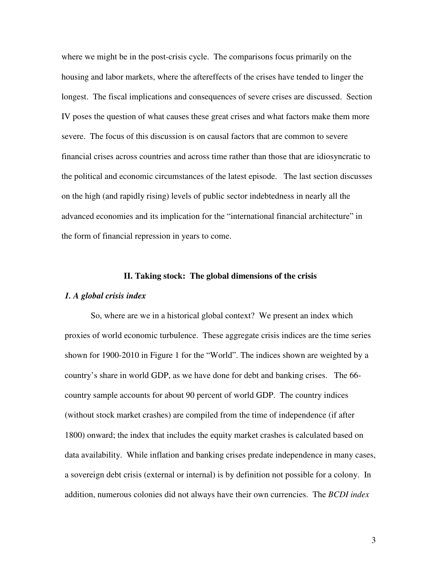where we might be in the post-crisis cycle. The comparisons focus primarily on the housing and labor markets, where the aftereffects of the crises have tended to linger the longest. The fiscal implications and consequences of severe crises are discussed. Section IV poses the question of what causes these great crises and what factors make them more severe. The focus of this discussion is on causal factors that are common to severe financial crises across countries and across time rather than those that are idiosyncratic to the political and economic circumstances of the latest episode. The last section discusses on the high (and rapidly rising) levels of public sector indebtedness in nearly all the advanced economies and its implication for the "international financial architecture" in the form of financial repression in years to come.

#### **II. Taking stock: The global dimensions of the crisis**

#### *1. A global crisis index*

 So, where are we in a historical global context? We present an index which proxies of world economic turbulence. These aggregate crisis indices are the time series shown for 1900-2010 in Figure 1 for the "World". The indices shown are weighted by a country's share in world GDP, as we have done for debt and banking crises. The 66 country sample accounts for about 90 percent of world GDP. The country indices (without stock market crashes) are compiled from the time of independence (if after 1800) onward; the index that includes the equity market crashes is calculated based on data availability. While inflation and banking crises predate independence in many cases, a sovereign debt crisis (external or internal) is by definition not possible for a colony. In addition, numerous colonies did not always have their own currencies. The *BCDI index*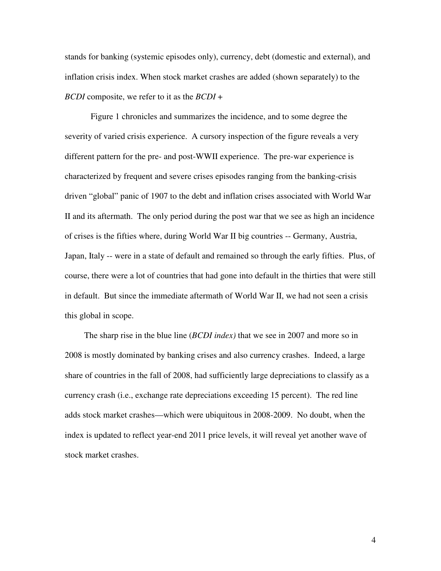stands for banking (systemic episodes only), currency, debt (domestic and external), and inflation crisis index. When stock market crashes are added (shown separately) to the *BCDI* composite, we refer to it as the *BCDI* +

Figure 1 chronicles and summarizes the incidence, and to some degree the severity of varied crisis experience. A cursory inspection of the figure reveals a very different pattern for the pre- and post-WWII experience. The pre-war experience is characterized by frequent and severe crises episodes ranging from the banking-crisis driven "global" panic of 1907 to the debt and inflation crises associated with World War II and its aftermath. The only period during the post war that we see as high an incidence of crises is the fifties where, during World War II big countries -- Germany, Austria, Japan, Italy -- were in a state of default and remained so through the early fifties. Plus, of course, there were a lot of countries that had gone into default in the thirties that were still in default. But since the immediate aftermath of World War II, we had not seen a crisis this global in scope.

The sharp rise in the blue line (*BCDI index)* that we see in 2007 and more so in 2008 is mostly dominated by banking crises and also currency crashes. Indeed, a large share of countries in the fall of 2008, had sufficiently large depreciations to classify as a currency crash (i.e., exchange rate depreciations exceeding 15 percent). The red line adds stock market crashes—which were ubiquitous in 2008-2009. No doubt, when the index is updated to reflect year-end 2011 price levels, it will reveal yet another wave of stock market crashes.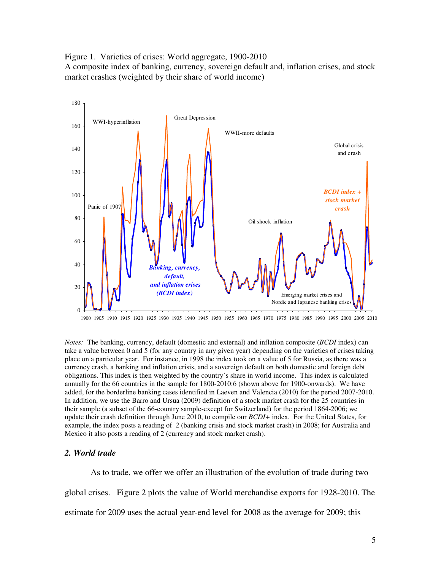#### Figure 1. Varieties of crises: World aggregate, 1900-2010

A composite index of banking, currency, sovereign default and, inflation crises, and stock market crashes (weighted by their share of world income)



1900 1905 1910 1915 1920 1925 1930 1935 1940 1945 1950 1955 1960 1965 1970 1975 1980 1985 1990 1995 2000 2005 2010

*Notes:* The banking, currency, default (domestic and external) and inflation composite (*BCDI* index) can take a value between 0 and 5 (for any country in any given year) depending on the varieties of crises taking place on a particular year. For instance, in 1998 the index took on a value of 5 for Russia, as there was a currency crash, a banking and inflation crisis, and a sovereign default on both domestic and foreign debt obligations. This index is then weighted by the country's share in world income. This index is calculated annually for the 66 countries in the sample for 1800-2010:6 (shown above for 1900-onwards). We have added, for the borderline banking cases identified in Laeven and Valencia (2010) for the period 2007-2010. In addition, we use the Barro and Ursua (2009) definition of a stock market crash for the 25 countries in their sample (a subset of the 66-country sample-except for Switzerland) for the period 1864-2006; we update their crash definition through June 2010, to compile our *BCDI+* index. For the United States, for example, the index posts a reading of 2 (banking crisis and stock market crash) in 2008; for Australia and Mexico it also posts a reading of 2 (currency and stock market crash).

#### *2. World trade*

 As to trade, we offer we offer an illustration of the evolution of trade during two global crises. Figure 2 plots the value of World merchandise exports for 1928-2010. The estimate for 2009 uses the actual year-end level for 2008 as the average for 2009; this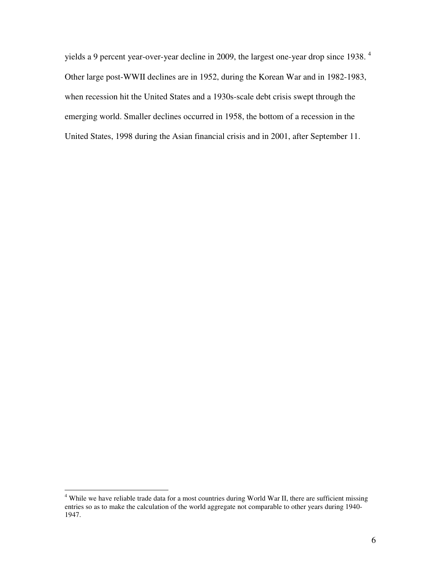yields a 9 percent year-over-year decline in 2009, the largest one-year drop since 1938.  $4$ Other large post-WWII declines are in 1952, during the Korean War and in 1982-1983, when recession hit the United States and a 1930s-scale debt crisis swept through the emerging world. Smaller declines occurred in 1958, the bottom of a recession in the United States, 1998 during the Asian financial crisis and in 2001, after September 11.

 4 While we have reliable trade data for a most countries during World War II, there are sufficient missing entries so as to make the calculation of the world aggregate not comparable to other years during 1940- 1947.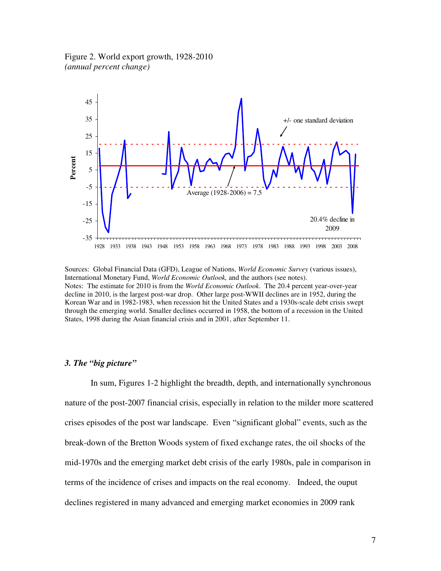Figure 2. World export growth, 1928-2010 *(annual percent change)* 



Sources: Global Financial Data (GFD), League of Nations, *World Economic Survey* (various issues), International Monetary Fund, *World Economic Outlook,* and the authors (see notes). Notes: The estimate for 2010 is from the *World Economic Outlook*. The 20.4 percent year-over-year decline in 2010, is the largest post-war drop. Other large post-WWII declines are in 1952, during the Korean War and in 1982-1983, when recession hit the United States and a 1930s-scale debt crisis swept through the emerging world. Smaller declines occurred in 1958, the bottom of a recession in the United States, 1998 during the Asian financial crisis and in 2001, after September 11.

#### *3. The "big picture"*

In sum, Figures 1-2 highlight the breadth, depth, and internationally synchronous nature of the post-2007 financial crisis, especially in relation to the milder more scattered crises episodes of the post war landscape. Even "significant global" events, such as the break-down of the Bretton Woods system of fixed exchange rates, the oil shocks of the mid-1970s and the emerging market debt crisis of the early 1980s, pale in comparison in terms of the incidence of crises and impacts on the real economy. Indeed, the ouput declines registered in many advanced and emerging market economies in 2009 rank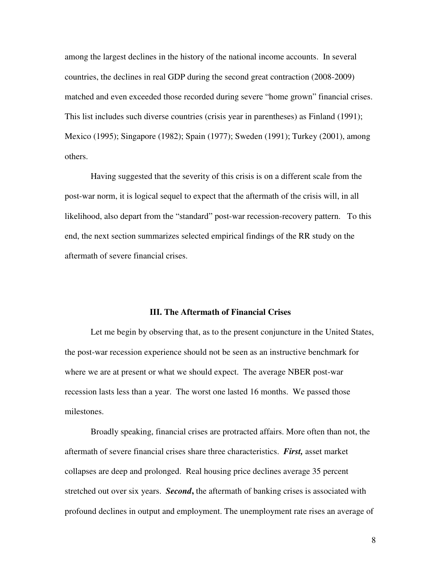among the largest declines in the history of the national income accounts. In several countries, the declines in real GDP during the second great contraction (2008-2009) matched and even exceeded those recorded during severe "home grown" financial crises. This list includes such diverse countries (crisis year in parentheses) as Finland (1991); Mexico (1995); Singapore (1982); Spain (1977); Sweden (1991); Turkey (2001), among others.

Having suggested that the severity of this crisis is on a different scale from the post-war norm, it is logical sequel to expect that the aftermath of the crisis will, in all likelihood, also depart from the "standard" post-war recession-recovery pattern. To this end, the next section summarizes selected empirical findings of the RR study on the aftermath of severe financial crises.

#### **III. The Aftermath of Financial Crises**

Let me begin by observing that, as to the present conjuncture in the United States, the post-war recession experience should not be seen as an instructive benchmark for where we are at present or what we should expect. The average NBER post-war recession lasts less than a year. The worst one lasted 16 months. We passed those milestones.

Broadly speaking, financial crises are protracted affairs. More often than not, the aftermath of severe financial crises share three characteristics. *First,* asset market collapses are deep and prolonged. Real housing price declines average 35 percent stretched out over six years. *Second***,** the aftermath of banking crises is associated with profound declines in output and employment. The unemployment rate rises an average of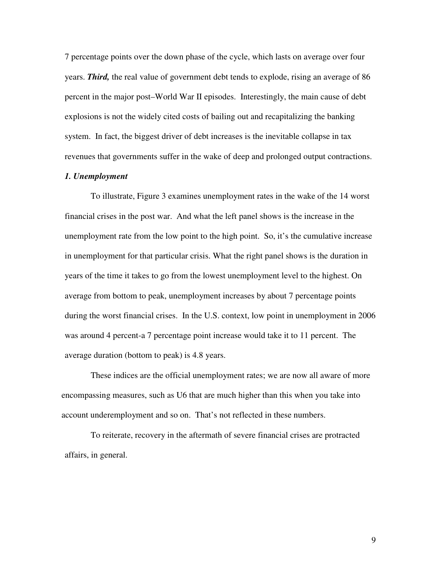7 percentage points over the down phase of the cycle, which lasts on average over four years. *Third,* the real value of government debt tends to explode, rising an average of 86 percent in the major post–World War II episodes. Interestingly, the main cause of debt explosions is not the widely cited costs of bailing out and recapitalizing the banking system. In fact, the biggest driver of debt increases is the inevitable collapse in tax revenues that governments suffer in the wake of deep and prolonged output contractions.

#### *1. Unemployment*

To illustrate, Figure 3 examines unemployment rates in the wake of the 14 worst financial crises in the post war. And what the left panel shows is the increase in the unemployment rate from the low point to the high point. So, it's the cumulative increase in unemployment for that particular crisis. What the right panel shows is the duration in years of the time it takes to go from the lowest unemployment level to the highest. On average from bottom to peak, unemployment increases by about 7 percentage points during the worst financial crises. In the U.S. context, low point in unemployment in 2006 was around 4 percent-a 7 percentage point increase would take it to 11 percent. The average duration (bottom to peak) is 4.8 years.

These indices are the official unemployment rates; we are now all aware of more encompassing measures, such as U6 that are much higher than this when you take into account underemployment and so on. That's not reflected in these numbers.

To reiterate, recovery in the aftermath of severe financial crises are protracted affairs, in general.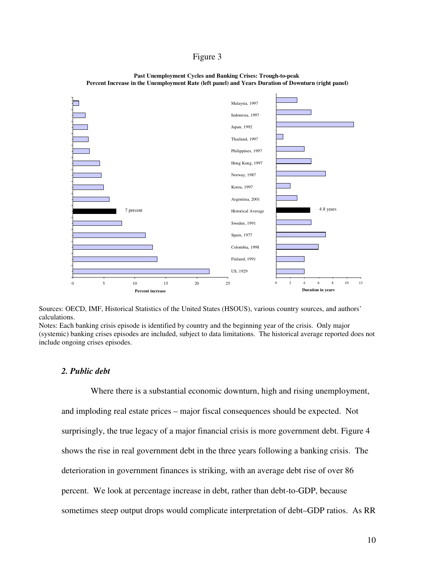#### Figure 3





Sources: OECD, IMF, Historical Statistics of the United States (HSOUS), various country sources, and authors' calculations.

Notes: Each banking crisis episode is identified by country and the beginning year of the crisis. Only major (systemic) banking crises episodes are included, subject to data limitations. The historical average reported does not include ongoing crises episodes.

#### *2. Public debt*

Where there is a substantial economic downturn, high and rising unemployment, and imploding real estate prices – major fiscal consequences should be expected. Not surprisingly, the true legacy of a major financial crisis is more government debt. Figure 4 shows the rise in real government debt in the three years following a banking crisis. The deterioration in government finances is striking, with an average debt rise of over 86 percent. We look at percentage increase in debt, rather than debt-to-GDP, because sometimes steep output drops would complicate interpretation of debt–GDP ratios. As RR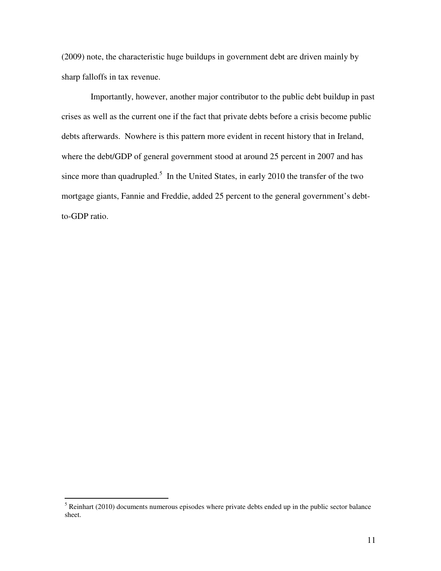(2009) note, the characteristic huge buildups in government debt are driven mainly by sharp falloffs in tax revenue.

Importantly, however, another major contributor to the public debt buildup in past crises as well as the current one if the fact that private debts before a crisis become public debts afterwards. Nowhere is this pattern more evident in recent history that in Ireland, where the debt/GDP of general government stood at around 25 percent in 2007 and has since more than quadrupled.<sup>5</sup> In the United States, in early 2010 the transfer of the two mortgage giants, Fannie and Freddie, added 25 percent to the general government's debtto-GDP ratio.

<sup>&</sup>lt;sup>5</sup> Reinhart (2010) documents numerous episodes where private debts ended up in the public sector balance sheet.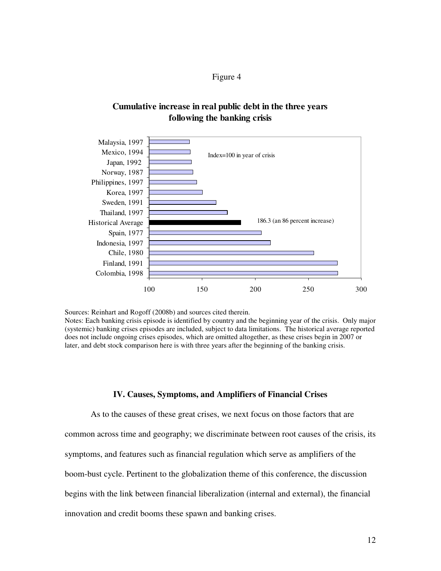Figure 4

#### **Cumulative increase in real public debt in the three years following the banking crisis**



Sources: Reinhart and Rogoff (2008b) and sources cited therein.

Notes: Each banking crisis episode is identified by country and the beginning year of the crisis. Only major (systemic) banking crises episodes are included, subject to data limitations. The historical average reported does not include ongoing crises episodes, which are omitted altogether, as these crises begin in 2007 or later, and debt stock comparison here is with three years after the beginning of the banking crisis.

#### **IV. Causes, Symptoms, and Amplifiers of Financial Crises**

As to the causes of these great crises, we next focus on those factors that are common across time and geography; we discriminate between root causes of the crisis, its symptoms, and features such as financial regulation which serve as amplifiers of the boom-bust cycle. Pertinent to the globalization theme of this conference, the discussion begins with the link between financial liberalization (internal and external), the financial innovation and credit booms these spawn and banking crises.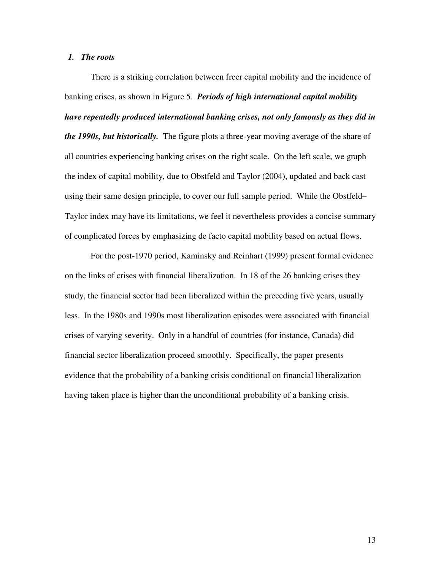#### *1. The roots*

There is a striking correlation between freer capital mobility and the incidence of banking crises, as shown in Figure 5. *Periods of high international capital mobility have repeatedly produced international banking crises, not only famously as they did in the 1990s, but historically.* The figure plots a three-year moving average of the share of all countries experiencing banking crises on the right scale. On the left scale, we graph the index of capital mobility, due to Obstfeld and Taylor (2004), updated and back cast using their same design principle, to cover our full sample period. While the Obstfeld– Taylor index may have its limitations, we feel it nevertheless provides a concise summary of complicated forces by emphasizing de facto capital mobility based on actual flows.

For the post-1970 period, Kaminsky and Reinhart (1999) present formal evidence on the links of crises with financial liberalization. In 18 of the 26 banking crises they study, the financial sector had been liberalized within the preceding five years, usually less. In the 1980s and 1990s most liberalization episodes were associated with financial crises of varying severity. Only in a handful of countries (for instance, Canada) did financial sector liberalization proceed smoothly. Specifically, the paper presents evidence that the probability of a banking crisis conditional on financial liberalization having taken place is higher than the unconditional probability of a banking crisis.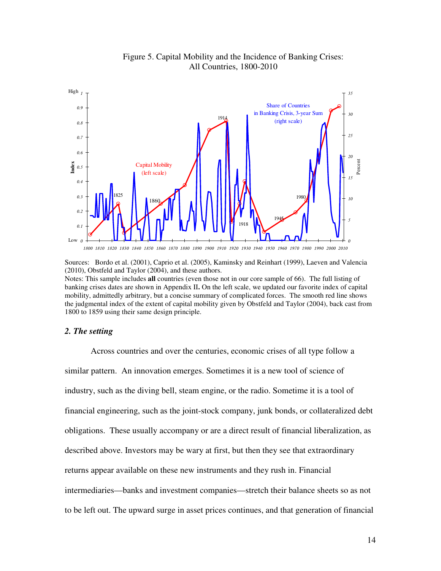

Figure 5. Capital Mobility and the Incidence of Banking Crises: All Countries, 1800-2010

Sources: Bordo et al. (2001), Caprio et al. (2005), Kaminsky and Reinhart (1999), Laeven and Valencia (2010), Obstfeld and Taylor (2004), and these authors. Notes: This sample includes **all** countries (even those not in our core sample of 66). The full listing of banking crises dates are shown in Appendix II**.** On the left scale, we updated our favorite index of capital mobility, admittedly arbitrary, but a concise summary of complicated forces. The smooth red line shows the judgmental index of the extent of capital mobility given by Obstfeld and Taylor (2004), back cast from 1800 to 1859 using their same design principle.

#### *2. The setting*

Across countries and over the centuries, economic crises of all type follow a similar pattern. An innovation emerges. Sometimes it is a new tool of science of industry, such as the diving bell, steam engine, or the radio. Sometime it is a tool of financial engineering, such as the joint-stock company, junk bonds, or collateralized debt obligations. These usually accompany or are a direct result of financial liberalization, as described above. Investors may be wary at first, but then they see that extraordinary returns appear available on these new instruments and they rush in. Financial intermediaries—banks and investment companies—stretch their balance sheets so as not to be left out. The upward surge in asset prices continues, and that generation of financial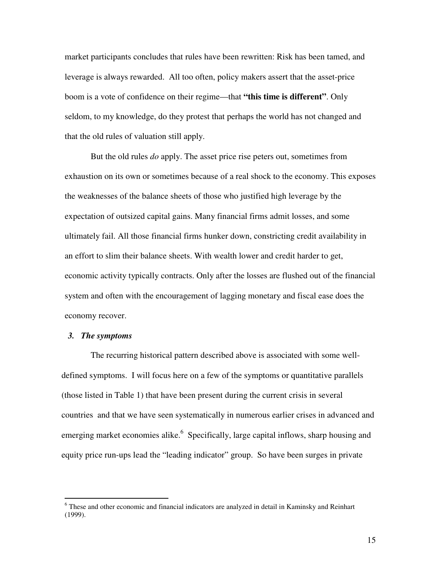market participants concludes that rules have been rewritten: Risk has been tamed, and leverage is always rewarded. All too often, policy makers assert that the asset-price boom is a vote of confidence on their regime—that **"this time is different"**. Only seldom, to my knowledge, do they protest that perhaps the world has not changed and that the old rules of valuation still apply.

But the old rules *do* apply. The asset price rise peters out, sometimes from exhaustion on its own or sometimes because of a real shock to the economy. This exposes the weaknesses of the balance sheets of those who justified high leverage by the expectation of outsized capital gains. Many financial firms admit losses, and some ultimately fail. All those financial firms hunker down, constricting credit availability in an effort to slim their balance sheets. With wealth lower and credit harder to get, economic activity typically contracts. Only after the losses are flushed out of the financial system and often with the encouragement of lagging monetary and fiscal ease does the economy recover.

#### *3. The symptoms*

The recurring historical pattern described above is associated with some welldefined symptoms. I will focus here on a few of the symptoms or quantitative parallels (those listed in Table 1) that have been present during the current crisis in several countries and that we have seen systematically in numerous earlier crises in advanced and emerging market economies alike.<sup>6</sup> Specifically, large capital inflows, sharp housing and equity price run-ups lead the "leading indicator" group. So have been surges in private

<sup>&</sup>lt;sup>6</sup> These and other economic and financial indicators are analyzed in detail in Kaminsky and Reinhart (1999).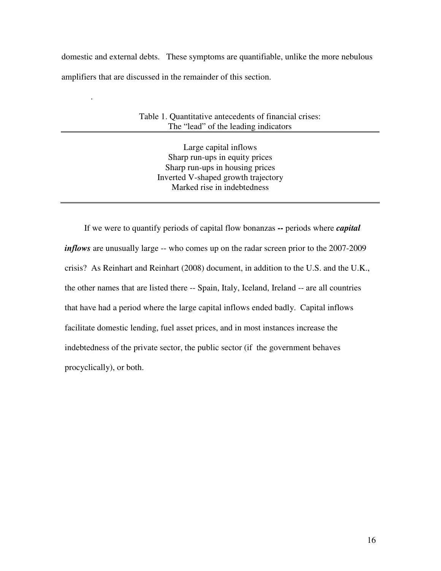domestic and external debts. These symptoms are quantifiable, unlike the more nebulous amplifiers that are discussed in the remainder of this section.

.

Table 1. Quantitative antecedents of financial crises: The "lead" of the leading indicators

> Large capital inflows Sharp run-ups in equity prices Sharp run-ups in housing prices Inverted V-shaped growth trajectory Marked rise in indebtedness

If we were to quantify periods of capital flow bonanzas **--** periods where *capital inflows* are unusually large -- who comes up on the radar screen prior to the 2007-2009 crisis? As Reinhart and Reinhart (2008) document, in addition to the U.S. and the U.K., the other names that are listed there -- Spain, Italy, Iceland, Ireland -- are all countries that have had a period where the large capital inflows ended badly. Capital inflows facilitate domestic lending, fuel asset prices, and in most instances increase the indebtedness of the private sector, the public sector (if the government behaves procyclically), or both.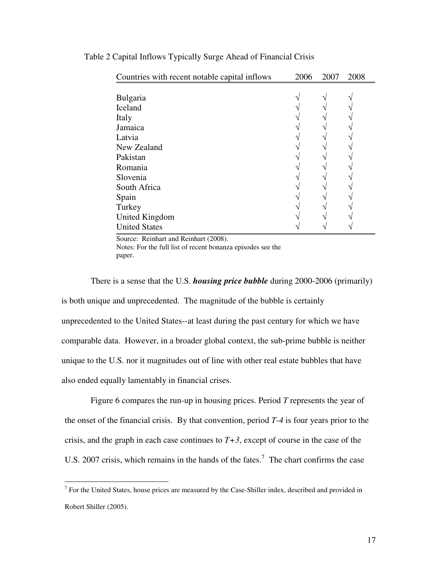| Countries with recent notable capital inflows | 2006 | 2007 | 2008 |
|-----------------------------------------------|------|------|------|
|                                               |      |      |      |
| Bulgaria                                      |      |      |      |
| Iceland                                       |      |      |      |
| Italy                                         |      |      |      |
| Jamaica                                       |      |      |      |
| Latvia                                        |      |      |      |
| New Zealand                                   |      |      |      |
| Pakistan                                      |      |      |      |
| Romania                                       |      |      |      |
| Slovenia                                      |      |      |      |
| South Africa                                  |      |      |      |
| Spain                                         |      |      |      |
| Turkey                                        |      |      |      |
| United Kingdom                                |      |      |      |
| <b>United States</b>                          |      |      |      |

#### Table 2 Capital Inflows Typically Surge Ahead of Financial Crisis

Source: Reinhart and Reinhart (2008). Notes: For the full list of recent bonanza episodes see the paper.

There is a sense that the U.S. *housing price bubble* during 2000-2006 (primarily) is both unique and unprecedented. The magnitude of the bubble is certainly unprecedented to the United States--at least during the past century for which we have comparable data. However, in a broader global context, the sub-prime bubble is neither unique to the U.S. nor it magnitudes out of line with other real estate bubbles that have also ended equally lamentably in financial crises.

Figure 6 compares the run-up in housing prices. Period *T* represents the year of the onset of the financial crisis. By that convention, period *T-4* is four years prior to the crisis, and the graph in each case continues to  $T+3$ , except of course in the case of the U.S. 2007 crisis, which remains in the hands of the fates.<sup>7</sup> The chart confirms the case

<sup>&</sup>lt;sup>7</sup> For the United States, house prices are measured by the Case-Shiller index, described and provided in Robert Shiller (2005).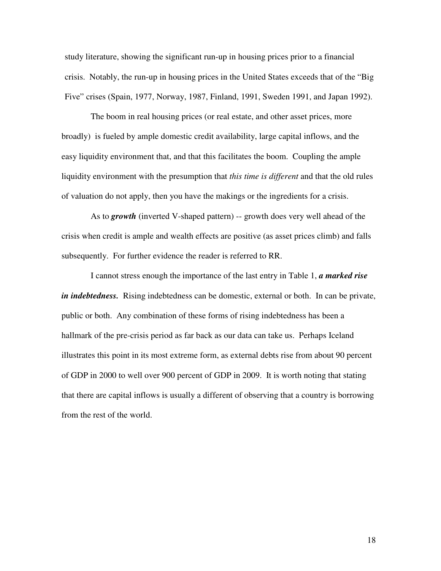study literature, showing the significant run-up in housing prices prior to a financial crisis. Notably, the run-up in housing prices in the United States exceeds that of the "Big Five" crises (Spain, 1977, Norway, 1987, Finland, 1991, Sweden 1991, and Japan 1992).

The boom in real housing prices (or real estate, and other asset prices, more broadly) is fueled by ample domestic credit availability, large capital inflows, and the easy liquidity environment that, and that this facilitates the boom. Coupling the ample liquidity environment with the presumption that *this time is different* and that the old rules of valuation do not apply, then you have the makings or the ingredients for a crisis.

As to *growth* (inverted V-shaped pattern) -- growth does very well ahead of the crisis when credit is ample and wealth effects are positive (as asset prices climb) and falls subsequently. For further evidence the reader is referred to RR.

I cannot stress enough the importance of the last entry in Table 1, *a marked rise in indebtedness.* Rising indebtedness can be domestic, external or both. In can be private, public or both. Any combination of these forms of rising indebtedness has been a hallmark of the pre-crisis period as far back as our data can take us. Perhaps Iceland illustrates this point in its most extreme form, as external debts rise from about 90 percent of GDP in 2000 to well over 900 percent of GDP in 2009. It is worth noting that stating that there are capital inflows is usually a different of observing that a country is borrowing from the rest of the world.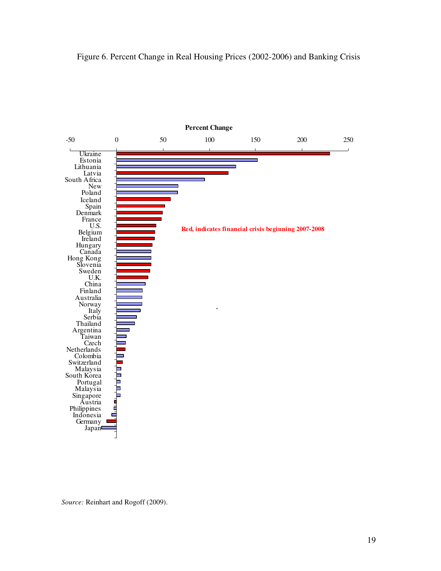

Figure 6. Percent Change in Real Housing Prices (2002-2006) and Banking Crisis

*Source:* Reinhart and Rogoff (2009).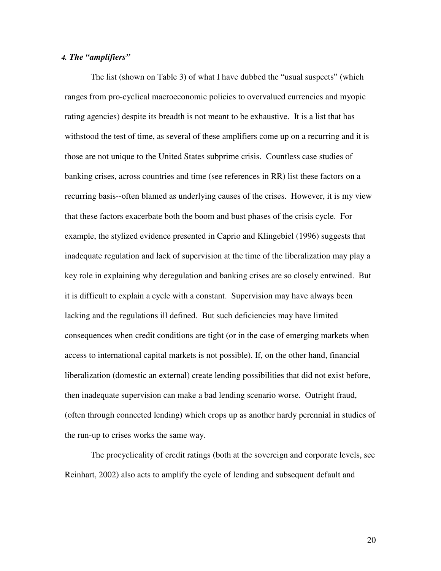#### *4. The "amplifiers"*

 The list (shown on Table 3) of what I have dubbed the "usual suspects" (which ranges from pro-cyclical macroeconomic policies to overvalued currencies and myopic rating agencies) despite its breadth is not meant to be exhaustive. It is a list that has withstood the test of time, as several of these amplifiers come up on a recurring and it is those are not unique to the United States subprime crisis. Countless case studies of banking crises, across countries and time (see references in RR) list these factors on a recurring basis--often blamed as underlying causes of the crises. However, it is my view that these factors exacerbate both the boom and bust phases of the crisis cycle. For example, the stylized evidence presented in Caprio and Klingebiel (1996) suggests that inadequate regulation and lack of supervision at the time of the liberalization may play a key role in explaining why deregulation and banking crises are so closely entwined. But it is difficult to explain a cycle with a constant. Supervision may have always been lacking and the regulations ill defined. But such deficiencies may have limited consequences when credit conditions are tight (or in the case of emerging markets when access to international capital markets is not possible). If, on the other hand, financial liberalization (domestic an external) create lending possibilities that did not exist before, then inadequate supervision can make a bad lending scenario worse. Outright fraud, (often through connected lending) which crops up as another hardy perennial in studies of the run-up to crises works the same way.

 The procyclicality of credit ratings (both at the sovereign and corporate levels, see Reinhart, 2002) also acts to amplify the cycle of lending and subsequent default and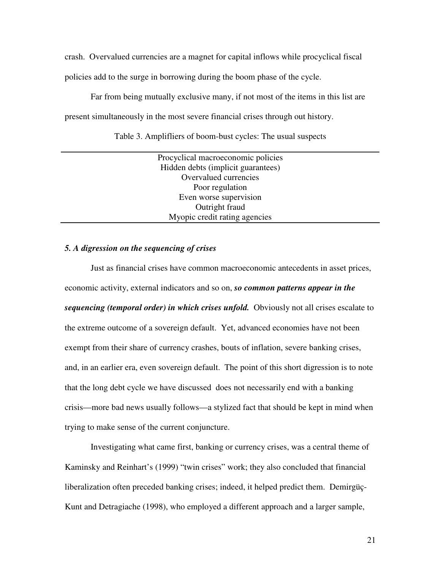crash. Overvalued currencies are a magnet for capital inflows while procyclical fiscal policies add to the surge in borrowing during the boom phase of the cycle.

 Far from being mutually exclusive many, if not most of the items in this list are present simultaneously in the most severe financial crises through out history.

Procyclical macroeconomic policies Hidden debts (implicit guarantees) Overvalued currencies Poor regulation Even worse supervision Outright fraud Myopic credit rating agencies

Table 3. Amplifliers of boom-bust cycles: The usual suspects

#### *5. A digression on the sequencing of crises*

Just as financial crises have common macroeconomic antecedents in asset prices, economic activity, external indicators and so on, *so common patterns appear in the sequencing (temporal order) in which crises unfold.* Obviously not all crises escalate to the extreme outcome of a sovereign default. Yet, advanced economies have not been exempt from their share of currency crashes, bouts of inflation, severe banking crises, and, in an earlier era, even sovereign default. The point of this short digression is to note that the long debt cycle we have discussed does not necessarily end with a banking crisis—more bad news usually follows—a stylized fact that should be kept in mind when trying to make sense of the current conjuncture.

Investigating what came first, banking or currency crises, was a central theme of Kaminsky and Reinhart's (1999) "twin crises" work; they also concluded that financial liberalization often preceded banking crises; indeed, it helped predict them. Demirgüç-Kunt and Detragiache (1998), who employed a different approach and a larger sample,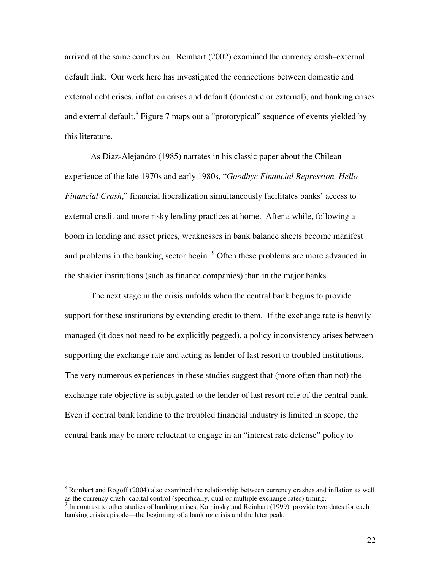arrived at the same conclusion. Reinhart (2002) examined the currency crash–external default link. Our work here has investigated the connections between domestic and external debt crises, inflation crises and default (domestic or external), and banking crises and external default.<sup>8</sup> Figure 7 maps out a "prototypical" sequence of events yielded by this literature.

As Diaz-Alejandro (1985) narrates in his classic paper about the Chilean experience of the late 1970s and early 1980s, "*Goodbye Financial Repression, Hello Financial Crash*," financial liberalization simultaneously facilitates banks' access to external credit and more risky lending practices at home. After a while, following a boom in lending and asset prices, weaknesses in bank balance sheets become manifest and problems in the banking sector begin.  $9$  Often these problems are more advanced in the shakier institutions (such as finance companies) than in the major banks.

The next stage in the crisis unfolds when the central bank begins to provide support for these institutions by extending credit to them. If the exchange rate is heavily managed (it does not need to be explicitly pegged), a policy inconsistency arises between supporting the exchange rate and acting as lender of last resort to troubled institutions. The very numerous experiences in these studies suggest that (more often than not) the exchange rate objective is subjugated to the lender of last resort role of the central bank. Even if central bank lending to the troubled financial industry is limited in scope, the central bank may be more reluctant to engage in an "interest rate defense" policy to

 $\overline{a}$ 

<sup>&</sup>lt;sup>8</sup> Reinhart and Rogoff (2004) also examined the relationship between currency crashes and inflation as well as the currency crash–capital control (specifically, dual or multiple exchange rates) timing.<br><sup>9</sup> In contrast to other studies of banking crises, Kaminsky and Reinhart (1999) provide two dates for each

banking crisis episode—the beginning of a banking crisis and the later peak.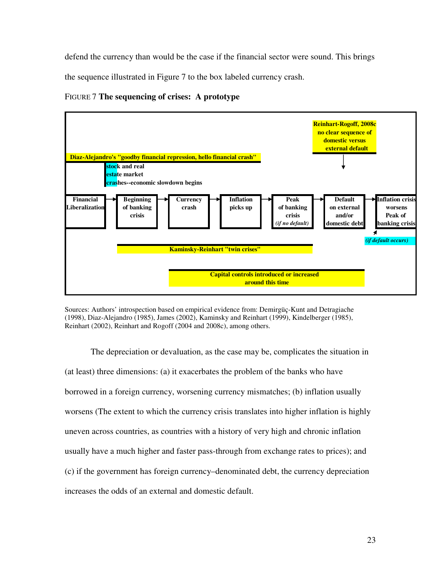defend the currency than would be the case if the financial sector were sound. This brings

the sequence illustrated in Figure 7 to the box labeled currency crash.

FIGURE 7 **The sequencing of crises: A prototype** 



Sources: Authors' introspection based on empirical evidence from: Demirgüç-Kunt and Detragiache (1998), Diaz-Alejandro (1985), James (2002), Kaminsky and Reinhart (1999), Kindelberger (1985), Reinhart (2002), Reinhart and Rogoff (2004 and 2008c), among others.

The depreciation or devaluation, as the case may be, complicates the situation in (at least) three dimensions: (a) it exacerbates the problem of the banks who have borrowed in a foreign currency, worsening currency mismatches; (b) inflation usually worsens (The extent to which the currency crisis translates into higher inflation is highly uneven across countries, as countries with a history of very high and chronic inflation usually have a much higher and faster pass-through from exchange rates to prices); and (c) if the government has foreign currency–denominated debt, the currency depreciation increases the odds of an external and domestic default.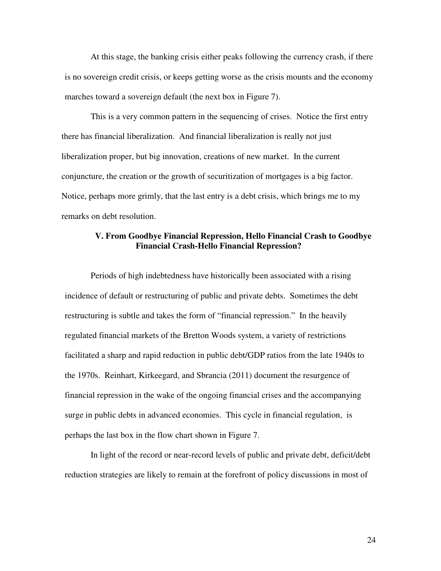At this stage, the banking crisis either peaks following the currency crash, if there is no sovereign credit crisis, or keeps getting worse as the crisis mounts and the economy marches toward a sovereign default (the next box in Figure 7).

This is a very common pattern in the sequencing of crises. Notice the first entry there has financial liberalization. And financial liberalization is really not just liberalization proper, but big innovation, creations of new market. In the current conjuncture, the creation or the growth of securitization of mortgages is a big factor. Notice, perhaps more grimly, that the last entry is a debt crisis, which brings me to my remarks on debt resolution.

#### **V. From Goodbye Financial Repression, Hello Financial Crash to Goodbye Financial Crash-Hello Financial Repression?**

Periods of high indebtedness have historically been associated with a rising incidence of default or restructuring of public and private debts. Sometimes the debt restructuring is subtle and takes the form of "financial repression." In the heavily regulated financial markets of the Bretton Woods system, a variety of restrictions facilitated a sharp and rapid reduction in public debt/GDP ratios from the late 1940s to the 1970s. Reinhart, Kirkeegard, and Sbrancia (2011) document the resurgence of financial repression in the wake of the ongoing financial crises and the accompanying surge in public debts in advanced economies. This cycle in financial regulation, is perhaps the last box in the flow chart shown in Figure 7.

In light of the record or near-record levels of public and private debt, deficit/debt reduction strategies are likely to remain at the forefront of policy discussions in most of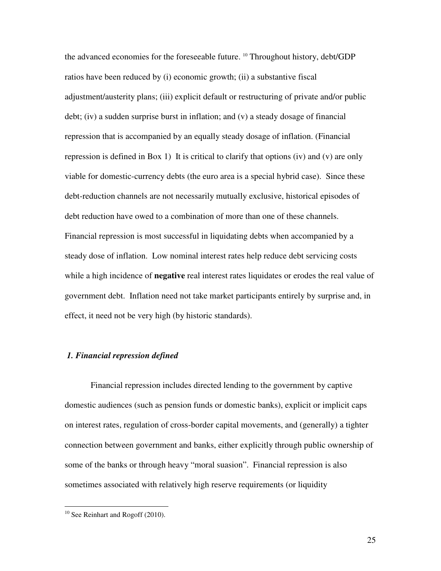the advanced economies for the foreseeable future. <sup>10</sup> Throughout history, debt/GDP ratios have been reduced by (i) economic growth; (ii) a substantive fiscal adjustment/austerity plans; (iii) explicit default or restructuring of private and/or public debt; (iv) a sudden surprise burst in inflation; and (v) a steady dosage of financial repression that is accompanied by an equally steady dosage of inflation. (Financial repression is defined in Box 1) It is critical to clarify that options (iv) and (v) are only viable for domestic-currency debts (the euro area is a special hybrid case). Since these debt-reduction channels are not necessarily mutually exclusive, historical episodes of debt reduction have owed to a combination of more than one of these channels. Financial repression is most successful in liquidating debts when accompanied by a steady dose of inflation. Low nominal interest rates help reduce debt servicing costs while a high incidence of **negative** real interest rates liquidates or erodes the real value of government debt. Inflation need not take market participants entirely by surprise and, in effect, it need not be very high (by historic standards).

#### *1. Financial repression defined*

Financial repression includes directed lending to the government by captive domestic audiences (such as pension funds or domestic banks), explicit or implicit caps on interest rates, regulation of cross-border capital movements, and (generally) a tighter connection between government and banks, either explicitly through public ownership of some of the banks or through heavy "moral suasion". Financial repression is also sometimes associated with relatively high reserve requirements (or liquidity

 $\overline{a}$ 

 $10$  See Reinhart and Rogoff (2010).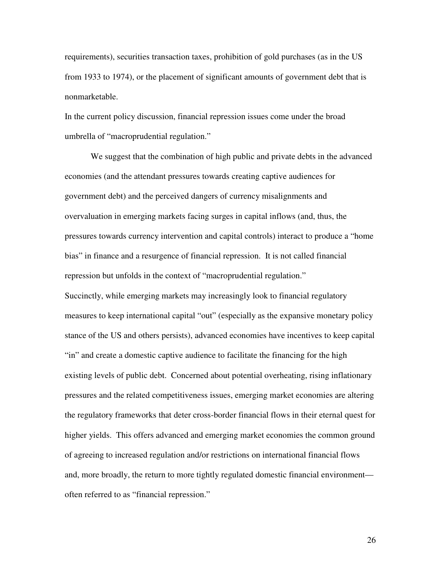requirements), securities transaction taxes, prohibition of gold purchases (as in the US from 1933 to 1974), or the placement of significant amounts of government debt that is nonmarketable.

In the current policy discussion, financial repression issues come under the broad umbrella of "macroprudential regulation."

We suggest that the combination of high public and private debts in the advanced economies (and the attendant pressures towards creating captive audiences for government debt) and the perceived dangers of currency misalignments and overvaluation in emerging markets facing surges in capital inflows (and, thus, the pressures towards currency intervention and capital controls) interact to produce a "home bias" in finance and a resurgence of financial repression. It is not called financial repression but unfolds in the context of "macroprudential regulation." Succinctly, while emerging markets may increasingly look to financial regulatory measures to keep international capital "out" (especially as the expansive monetary policy stance of the US and others persists), advanced economies have incentives to keep capital "in" and create a domestic captive audience to facilitate the financing for the high existing levels of public debt. Concerned about potential overheating, rising inflationary pressures and the related competitiveness issues, emerging market economies are altering the regulatory frameworks that deter cross-border financial flows in their eternal quest for higher yields. This offers advanced and emerging market economies the common ground of agreeing to increased regulation and/or restrictions on international financial flows and, more broadly, the return to more tightly regulated domestic financial environment often referred to as "financial repression."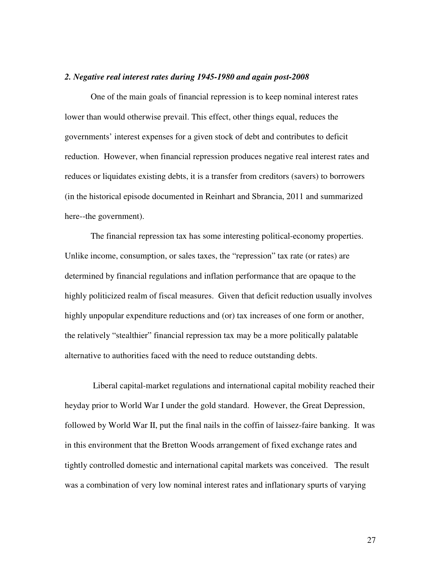#### *2. Negative real interest rates during 1945-1980 and again post-2008*

One of the main goals of financial repression is to keep nominal interest rates lower than would otherwise prevail. This effect, other things equal, reduces the governments' interest expenses for a given stock of debt and contributes to deficit reduction. However, when financial repression produces negative real interest rates and reduces or liquidates existing debts, it is a transfer from creditors (savers) to borrowers (in the historical episode documented in Reinhart and Sbrancia, 2011 and summarized here--the government).

 The financial repression tax has some interesting political-economy properties. Unlike income, consumption, or sales taxes, the "repression" tax rate (or rates) are determined by financial regulations and inflation performance that are opaque to the highly politicized realm of fiscal measures. Given that deficit reduction usually involves highly unpopular expenditure reductions and (or) tax increases of one form or another, the relatively "stealthier" financial repression tax may be a more politically palatable alternative to authorities faced with the need to reduce outstanding debts.

 Liberal capital-market regulations and international capital mobility reached their heyday prior to World War I under the gold standard. However, the Great Depression, followed by World War II, put the final nails in the coffin of laissez-faire banking. It was in this environment that the Bretton Woods arrangement of fixed exchange rates and tightly controlled domestic and international capital markets was conceived. The result was a combination of very low nominal interest rates and inflationary spurts of varying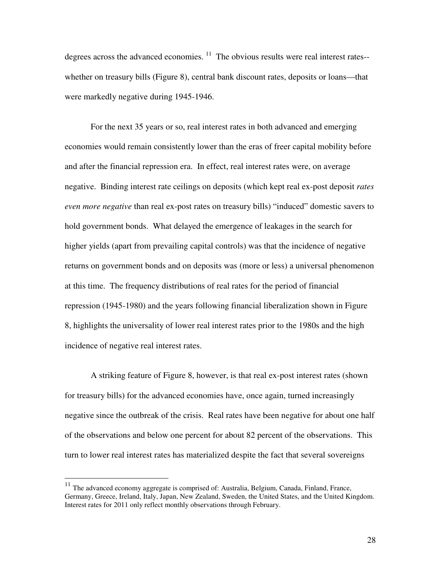degrees across the advanced economies.  $11$  The obvious results were real interest rates-whether on treasury bills (Figure 8), central bank discount rates, deposits or loans—that were markedly negative during 1945-1946.

For the next 35 years or so, real interest rates in both advanced and emerging economies would remain consistently lower than the eras of freer capital mobility before and after the financial repression era. In effect, real interest rates were, on average negative. Binding interest rate ceilings on deposits (which kept real ex-post deposit *rates even more negative* than real ex-post rates on treasury bills) "induced" domestic savers to hold government bonds. What delayed the emergence of leakages in the search for higher yields (apart from prevailing capital controls) was that the incidence of negative returns on government bonds and on deposits was (more or less) a universal phenomenon at this time. The frequency distributions of real rates for the period of financial repression (1945-1980) and the years following financial liberalization shown in Figure 8, highlights the universality of lower real interest rates prior to the 1980s and the high incidence of negative real interest rates.

 A striking feature of Figure 8, however, is that real ex-post interest rates (shown for treasury bills) for the advanced economies have, once again, turned increasingly negative since the outbreak of the crisis. Real rates have been negative for about one half of the observations and below one percent for about 82 percent of the observations. This turn to lower real interest rates has materialized despite the fact that several sovereigns

 $\overline{a}$ 

 $11$  The advanced economy aggregate is comprised of: Australia, Belgium, Canada, Finland, France, Germany, Greece, Ireland, Italy, Japan, New Zealand, Sweden, the United States, and the United Kingdom. Interest rates for 2011 only reflect monthly observations through February.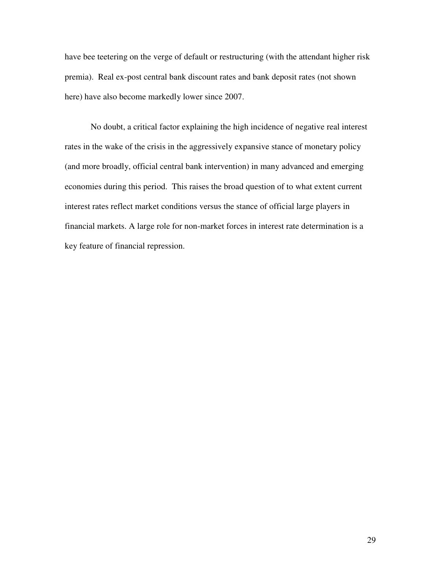have bee teetering on the verge of default or restructuring (with the attendant higher risk premia). Real ex-post central bank discount rates and bank deposit rates (not shown here) have also become markedly lower since 2007.

 No doubt, a critical factor explaining the high incidence of negative real interest rates in the wake of the crisis in the aggressively expansive stance of monetary policy (and more broadly, official central bank intervention) in many advanced and emerging economies during this period. This raises the broad question of to what extent current interest rates reflect market conditions versus the stance of official large players in financial markets. A large role for non-market forces in interest rate determination is a key feature of financial repression.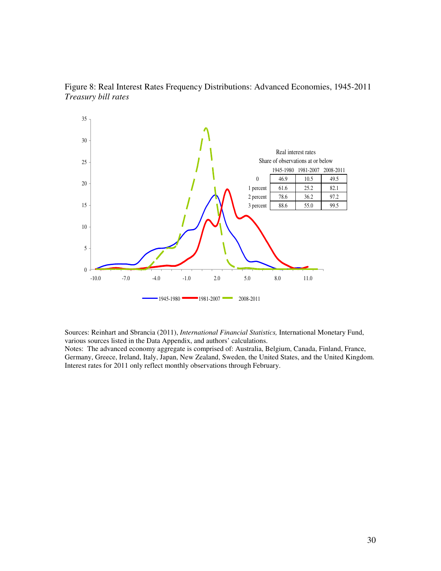



Sources: Reinhart and Sbrancia (2011), *International Financial Statistics,* International Monetary Fund, various sources listed in the Data Appendix, and authors' calculations.

Notes: The advanced economy aggregate is comprised of: Australia, Belgium, Canada, Finland, France, Germany, Greece, Ireland, Italy, Japan, New Zealand, Sweden, the United States, and the United Kingdom. Interest rates for 2011 only reflect monthly observations through February.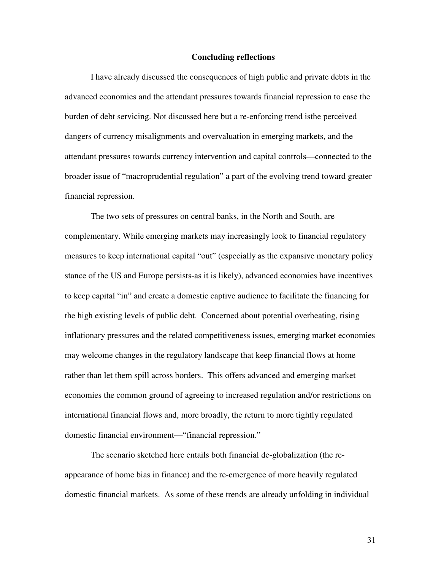#### **Concluding reflections**

I have already discussed the consequences of high public and private debts in the advanced economies and the attendant pressures towards financial repression to ease the burden of debt servicing. Not discussed here but a re-enforcing trend isthe perceived dangers of currency misalignments and overvaluation in emerging markets, and the attendant pressures towards currency intervention and capital controls—connected to the broader issue of "macroprudential regulation" a part of the evolving trend toward greater financial repression.

The two sets of pressures on central banks, in the North and South, are complementary. While emerging markets may increasingly look to financial regulatory measures to keep international capital "out" (especially as the expansive monetary policy stance of the US and Europe persists-as it is likely), advanced economies have incentives to keep capital "in" and create a domestic captive audience to facilitate the financing for the high existing levels of public debt. Concerned about potential overheating, rising inflationary pressures and the related competitiveness issues, emerging market economies may welcome changes in the regulatory landscape that keep financial flows at home rather than let them spill across borders. This offers advanced and emerging market economies the common ground of agreeing to increased regulation and/or restrictions on international financial flows and, more broadly, the return to more tightly regulated domestic financial environment—"financial repression."

The scenario sketched here entails both financial de-globalization (the reappearance of home bias in finance) and the re-emergence of more heavily regulated domestic financial markets. As some of these trends are already unfolding in individual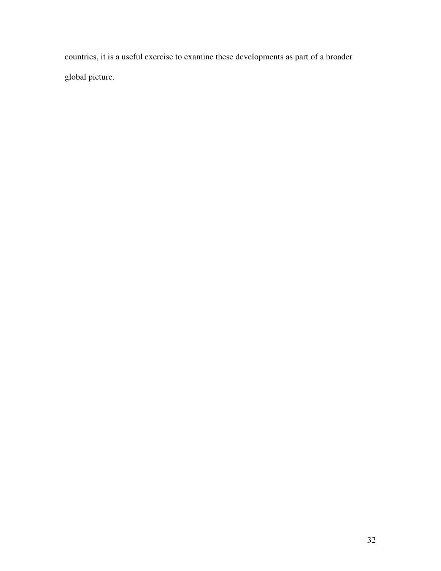countries, it is a useful exercise to examine these developments as part of a broader global picture.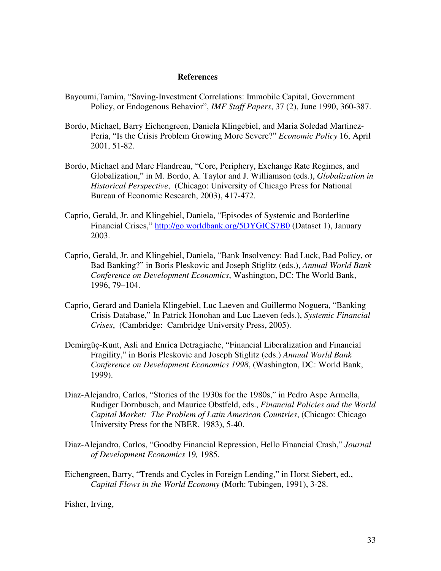#### **References**

- Bayoumi,Tamim, "Saving-Investment Correlations: Immobile Capital, Government Policy, or Endogenous Behavior", *IMF Staff Papers*, 37 (2), June 1990, 360-387.
- Bordo, Michael, Barry Eichengreen, Daniela Klingebiel, and Maria Soledad Martinez-Peria, "Is the Crisis Problem Growing More Severe?" *Economic Policy* 16, April 2001, 51-82.
- Bordo, Michael and Marc Flandreau, "Core, Periphery, Exchange Rate Regimes, and Globalization," in M. Bordo, A. Taylor and J. Williamson (eds.), *Globalization in Historical Perspective*, (Chicago: University of Chicago Press for National Bureau of Economic Research, 2003), 417-472.
- Caprio, Gerald, Jr. and Klingebiel, Daniela, "Episodes of Systemic and Borderline Financial Crises," http://go.worldbank.org/5DYGICS7B0 (Dataset 1), January 2003.
- Caprio, Gerald, Jr. and Klingebiel, Daniela, "Bank Insolvency: Bad Luck, Bad Policy, or Bad Banking?" in Boris Pleskovic and Joseph Stiglitz (eds.), *Annual World Bank Conference on Development Economics*, Washington, DC: The World Bank, 1996, 79–104.
- Caprio, Gerard and Daniela Klingebiel, Luc Laeven and Guillermo Noguera, "Banking Crisis Database," In Patrick Honohan and Luc Laeven (eds.), *Systemic Financial Crises*, (Cambridge: Cambridge University Press, 2005).
- Demirgüç-Kunt, Asli and Enrica Detragiache, "Financial Liberalization and Financial Fragility," in Boris Pleskovic and Joseph Stiglitz (eds.) *Annual World Bank Conference on Development Economics 1998*, (Washington, DC: World Bank, 1999).
- Diaz-Alejandro, Carlos, "Stories of the 1930s for the 1980s," in Pedro Aspe Armella, Rudiger Dornbusch, and Maurice Obstfeld, eds., *Financial Policies and the World Capital Market: The Problem of Latin American Countries*, (Chicago: Chicago University Press for the NBER, 1983), 5-40.
- Diaz-Alejandro, Carlos, "Goodby Financial Repression, Hello Financial Crash," *Journal of Development Economics* 19*,* 1985*.*
- Eichengreen, Barry, "Trends and Cycles in Foreign Lending," in Horst Siebert, ed., *Capital Flows in the World Economy* (Morh: Tubingen, 1991), 3-28.

Fisher, Irving,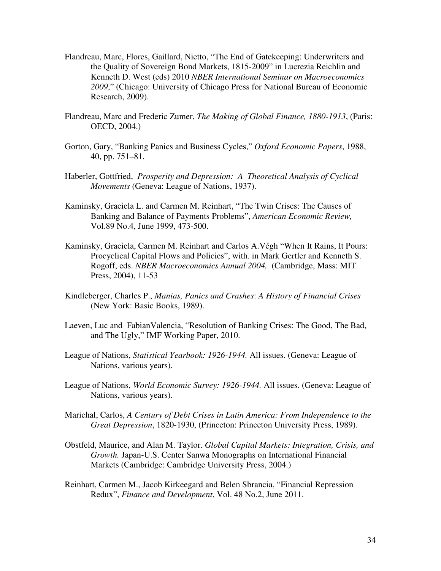- Flandreau, Marc, Flores, Gaillard, Nietto, "The End of Gatekeeping: Underwriters and the Quality of Sovereign Bond Markets, 1815-2009" in Lucrezia Reichlin and Kenneth D. West (eds) 2010 *NBER International Seminar on Macroeconomics 2009*," (Chicago: University of Chicago Press for National Bureau of Economic Research, 2009).
- Flandreau, Marc and Frederic Zumer, *The Making of Global Finance, 1880-1913*, (Paris: OECD, 2004.)
- Gorton, Gary, "Banking Panics and Business Cycles," *Oxford Economic Papers*, 1988, 40, pp. 751–81.
- Haberler, Gottfried, *Prosperity and Depression: A Theoretical Analysis of Cyclical Movements* (Geneva: League of Nations, 1937).
- Kaminsky, Graciela L. and Carmen M. Reinhart, "The Twin Crises: The Causes of Banking and Balance of Payments Problems", *American Economic Review,* Vol.89 No.4, June 1999, 473-500.
- Kaminsky, Graciela, Carmen M. Reinhart and Carlos A.Végh "When It Rains, It Pours: Procyclical Capital Flows and Policies", with. in Mark Gertler and Kenneth S. Rogoff, eds. *NBER Macroeconomics Annual 2004,* (Cambridge, Mass: MIT Press, 2004), 11-53
- Kindleberger, Charles P., *Manias, Panics and Crashes*: *A History of Financial Crises* (New York: Basic Books, 1989).
- Laeven, Luc and FabianValencia, "Resolution of Banking Crises: The Good, The Bad, and The Ugly," IMF Working Paper, 2010.
- League of Nations, *Statistical Yearbook: 1926-1944.* All issues. (Geneva: League of Nations, various years).
- League of Nations, *World Economic Survey: 1926-1944.* All issues. (Geneva: League of Nations, various years).
- Marichal, Carlos, *A Century of Debt Crises in Latin America: From Independence to the Great Depression*, 1820-1930, (Princeton: Princeton University Press, 1989).
- Obstfeld, Maurice, and Alan M. Taylor. *Global Capital Markets: Integration, Crisis, and Growth.* Japan-U.S. Center Sanwa Monographs on International Financial Markets (Cambridge: Cambridge University Press, 2004.)
- Reinhart, Carmen M., Jacob Kirkeegard and Belen Sbrancia, "Financial Repression Redux", *Finance and Development*, Vol. 48 No.2, June 2011.